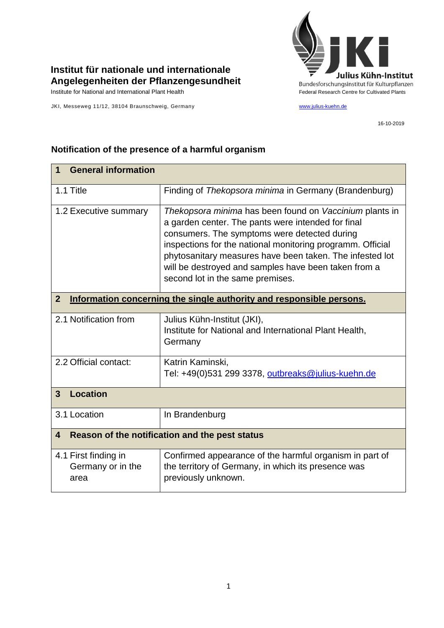

## **Institut für nationale und internationale Angelegenheiten der Pflanzengesundheit**

JKI, Messeweg 11/12, 38104 Braunschweig, Germany [www.julius-kuehn.de](http://www.julius-kuehn.de/)

16-10-2019

| <b>General information</b><br>1                                                        |                                                                                                                                                                                                                                                                                                                                                                                     |  |
|----------------------------------------------------------------------------------------|-------------------------------------------------------------------------------------------------------------------------------------------------------------------------------------------------------------------------------------------------------------------------------------------------------------------------------------------------------------------------------------|--|
| 1.1 Title                                                                              | Finding of Thekopsora minima in Germany (Brandenburg)                                                                                                                                                                                                                                                                                                                               |  |
| 1.2 Executive summary                                                                  | Thekopsora minima has been found on Vaccinium plants in<br>a garden center. The pants were intended for final<br>consumers. The symptoms were detected during<br>inspections for the national monitoring programm. Official<br>phytosanitary measures have been taken. The infested lot<br>will be destroyed and samples have been taken from a<br>second lot in the same premises. |  |
| $\overline{2}$<br>Information concerning the single authority and responsible persons. |                                                                                                                                                                                                                                                                                                                                                                                     |  |
| 2.1 Notification from                                                                  | Julius Kühn-Institut (JKI),<br>Institute for National and International Plant Health,<br>Germany                                                                                                                                                                                                                                                                                    |  |
| 2.2 Official contact:                                                                  | Katrin Kaminski,<br>Tel: +49(0)531 299 3378, outbreaks@julius-kuehn.de                                                                                                                                                                                                                                                                                                              |  |
| <b>Location</b><br>$\overline{3}$                                                      |                                                                                                                                                                                                                                                                                                                                                                                     |  |
| 3.1 Location                                                                           | In Brandenburg                                                                                                                                                                                                                                                                                                                                                                      |  |
| Reason of the notification and the pest status<br>$\overline{\mathbf{4}}$              |                                                                                                                                                                                                                                                                                                                                                                                     |  |
| 4.1 First finding in<br>Germany or in the<br>area                                      | Confirmed appearance of the harmful organism in part of<br>the territory of Germany, in which its presence was<br>previously unknown.                                                                                                                                                                                                                                               |  |

## **Notification of the presence of a harmful organism**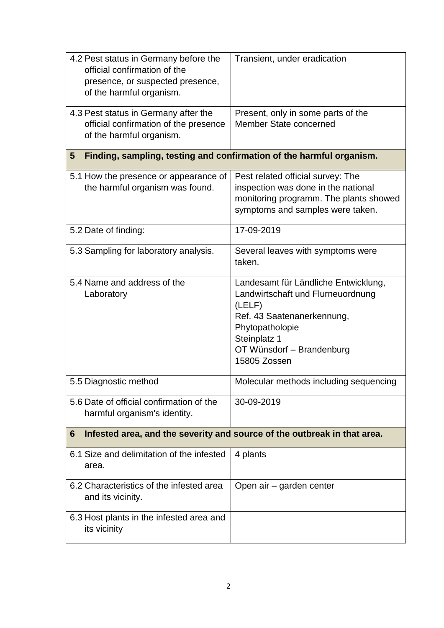| 4.2 Pest status in Germany before the<br>official confirmation of the<br>presence, or suspected presence,<br>of the harmful organism. | Transient, under eradication                                                                                                                                                                      |  |  |
|---------------------------------------------------------------------------------------------------------------------------------------|---------------------------------------------------------------------------------------------------------------------------------------------------------------------------------------------------|--|--|
| 4.3 Pest status in Germany after the<br>official confirmation of the presence<br>of the harmful organism.                             | Present, only in some parts of the<br>Member State concerned                                                                                                                                      |  |  |
| Finding, sampling, testing and confirmation of the harmful organism.<br>5                                                             |                                                                                                                                                                                                   |  |  |
| 5.1 How the presence or appearance of<br>the harmful organism was found.                                                              | Pest related official survey: The<br>inspection was done in the national<br>monitoring programm. The plants showed<br>symptoms and samples were taken.                                            |  |  |
| 5.2 Date of finding:                                                                                                                  | 17-09-2019                                                                                                                                                                                        |  |  |
| 5.3 Sampling for laboratory analysis.                                                                                                 | Several leaves with symptoms were<br>taken.                                                                                                                                                       |  |  |
| 5.4 Name and address of the<br>Laboratory                                                                                             | Landesamt für Ländliche Entwicklung,<br>Landwirtschaft und Flurneuordnung<br>(LELF)<br>Ref. 43 Saatenanerkennung,<br>Phytopatholopie<br>Steinplatz 1<br>OT Wünsdorf - Brandenburg<br>15805 Zossen |  |  |
| 5.5 Diagnostic method                                                                                                                 | Molecular methods including sequencing                                                                                                                                                            |  |  |
| 5.6 Date of official confirmation of the<br>harmful organism's identity.                                                              | 30-09-2019                                                                                                                                                                                        |  |  |
| 6                                                                                                                                     | Infested area, and the severity and source of the outbreak in that area.                                                                                                                          |  |  |
| 6.1 Size and delimitation of the infested<br>area.                                                                                    | 4 plants                                                                                                                                                                                          |  |  |
| 6.2 Characteristics of the infested area<br>and its vicinity.                                                                         | Open air – garden center                                                                                                                                                                          |  |  |
| 6.3 Host plants in the infested area and<br>its vicinity                                                                              |                                                                                                                                                                                                   |  |  |